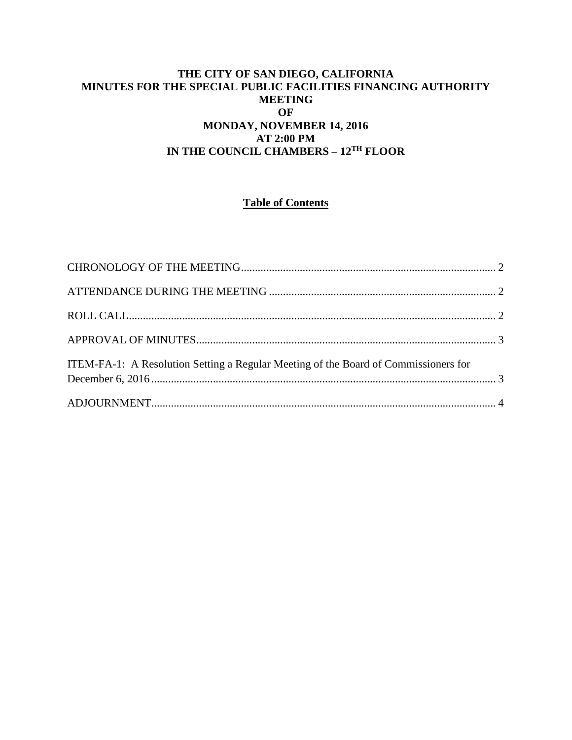## **THE CITY OF SAN DIEGO, CALIFORNIA MINUTES FOR THE SPECIAL PUBLIC FACILITIES FINANCING AUTHORITY MEETING OF MONDAY, NOVEMBER 14, 2016 AT 2:00 PM IN THE COUNCIL CHAMBERS – 12TH FLOOR**

# **Table of Contents**

| ITEM-FA-1: A Resolution Setting a Regular Meeting of the Board of Commissioners for |  |
|-------------------------------------------------------------------------------------|--|
|                                                                                     |  |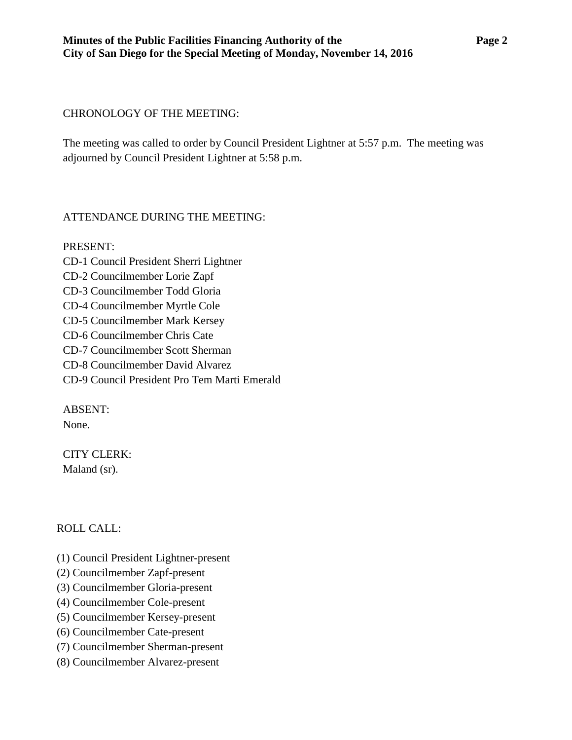### <span id="page-1-0"></span>CHRONOLOGY OF THE MEETING:

The meeting was called to order by Council President Lightner at 5:57 p.m. The meeting was adjourned by Council President Lightner at 5:58 p.m.

## <span id="page-1-1"></span>ATTENDANCE DURING THE MEETING:

PRESENT: CD-1 Council President Sherri Lightner CD-2 Councilmember Lorie Zapf CD-3 Councilmember Todd Gloria CD-4 Councilmember Myrtle Cole CD-5 Councilmember Mark Kersey CD-6 Councilmember Chris Cate CD-7 Councilmember Scott Sherman CD-8 Councilmember David Alvarez CD-9 Council President Pro Tem Marti Emerald

ABSENT: None.

CITY CLERK: Maland (sr).

## <span id="page-1-2"></span>ROLL CALL:

- (1) Council President Lightner-present
- (2) Councilmember Zapf-present
- (3) Councilmember Gloria-present
- (4) Councilmember Cole-present
- (5) Councilmember Kersey-present
- (6) Councilmember Cate-present
- (7) Councilmember Sherman-present
- (8) Councilmember Alvarez-present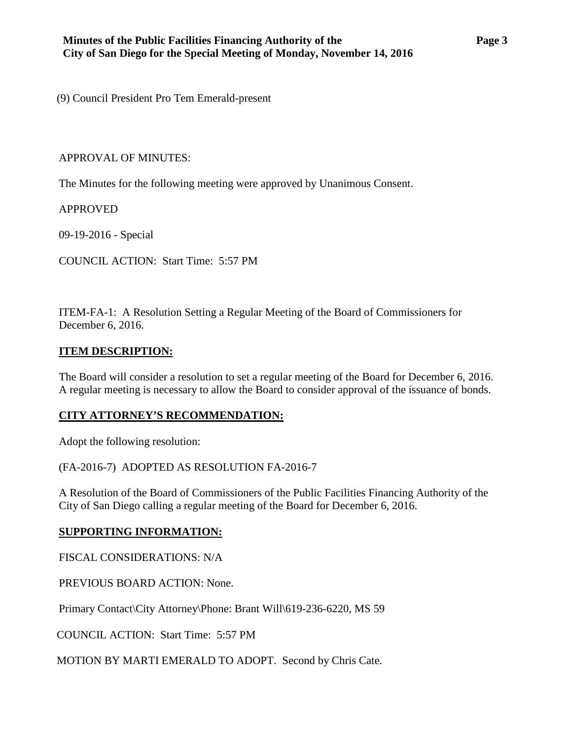(9) Council President Pro Tem Emerald-present

#### <span id="page-2-0"></span>APPROVAL OF MINUTES:

The Minutes for the following meeting were approved by Unanimous Consent.

APPROVED

[09-19-2016 -](http://www.sandiego.gov/sites/default/files/03-22-16-minutes.pdf) Special

COUNCIL ACTION: Start Time: 5:57 PM

<span id="page-2-1"></span>ITEM-FA-1: A Resolution Setting a Regular Meeting of the Board of Commissioners for December 6, 2016.

#### **ITEM DESCRIPTION:**

The Board will consider a resolution to set a regular meeting of the Board for December 6, 2016. A regular meeting is necessary to allow the Board to consider approval of the issuance of bonds.

## **CITY ATTORNEY'S RECOMMENDATION:**

Adopt the following resolution:

(FA-2016-7) ADOPTED AS RESOLUTION FA-2016-7

A Resolution of the Board of Commissioners of the Public Facilities Financing Authority of the City of San Diego calling a regular meeting of the Board for December 6, 2016.

## **SUPPORTING INFORMATION:**

FISCAL CONSIDERATIONS: N/A

PREVIOUS BOARD ACTION: None.

Primary Contact\City Attorney\Phone: Brant Will\619-236-6220, MS 59

COUNCIL ACTION: Start Time: 5:57 PM

MOTION BY MARTI EMERALD TO ADOPT. Second by Chris Cate.